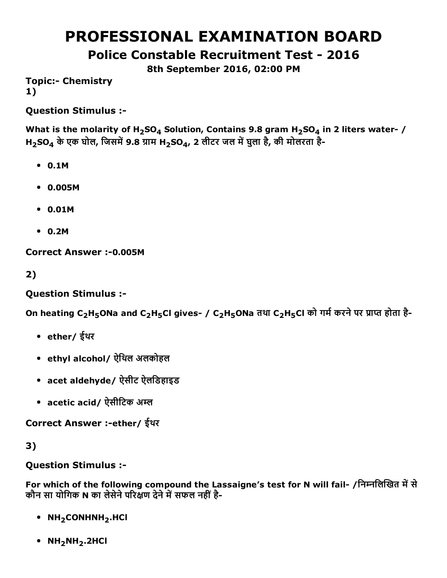# PROFESSIONAL EXAMINATION BOARD

Police Constable Recruitment Test - 2016

8th September 2016, 02:00 PM

**Topic:- Chemistry** 1)

Question Stimulus :

What is the molarity of H<sub>2</sub>SO<sub>4</sub> Solution, Contains 9.8 gram H<sub>2</sub>SO<sub>4</sub> in 2 liters water- /  $H_{2}SO_{4}$  के एक घोल, जिसमें 9.8 ग्राम  $H_{2}SO_{4}$ , 2 लीटर जल में घुला है, की मोलरता है-

- 0.1M
- 0.005M
- 0.01M
- 0.2M

Correct Answer :- 0.005M

2)

Question Stimulus :

On heating C<sub>2</sub>H<sub>5</sub>ONa and C<sub>2</sub>H<sub>5</sub>Cl gives- / C<sub>2</sub>H<sub>5</sub>ONa तथा C<sub>2</sub>H<sub>5</sub>Cl को गर्म करने पर प्राप्त होता है-

- ether/ ईथर
- ethyl alcohol/ ऐिथल अलकोहल
- acet aldehyde/ ऐसीट ऐलिडहाइड
- $\,$ acetic acid/ ऐसीटिक अम्ल

Correct Answer :-ether/ ईथर

# 3)

Question Stimulus :

For which of the following compound the Lassaigne's test for N will fail- /निम्नलिखित में से कौन सा योगिक N का लेसेने परिक्षण देने में सफल नहीं है-

- $\bullet$  NH<sub>2</sub>CONHNH<sub>2</sub>.HCl
- $\bullet$  NH<sub>2</sub>NH<sub>2</sub>.2HCl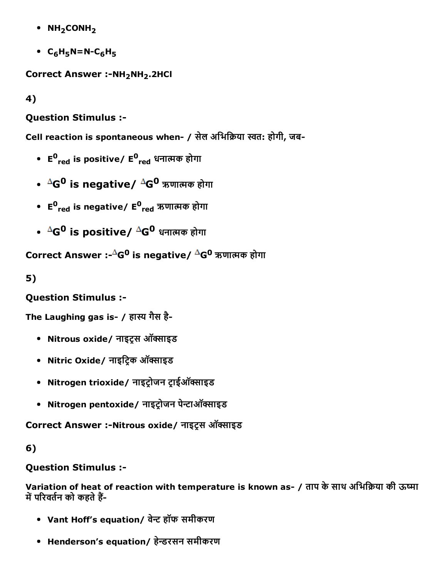- $\bullet$  NH<sub>2</sub>CONH<sub>2</sub>
- $C_6H_5N=N-C_6H_5$

Correct Answer :- NH<sub>2</sub>NH<sub>2</sub>.2HCl

4)

## Question Stimulus :

Cell reaction is spontaneous when- / सेल अभिक्रिया स्वत: होगी, जब-

- E<sup>0</sup><sub>red</sub> is positive/ E<sup>0</sup><sub>red</sub> धनात्मक होगा
- <sup>∆</sup>G<sup>0</sup> is negative/ <sup>∆</sup>G<sup>0</sup> ऋणात्मक होगा
- E<sup>0</sup><sub>red</sub> is negative/ E<sup>0</sup><sub>red</sub> ऋणात्मक होगा
- $\Delta G^0$  is positive/  $\Delta G^0$  धनात्मक होगा

Correct Answer :- $^{\Delta}$ G<sup>0</sup> is negative/  $^{\Delta}$ G<sup>0</sup> ऋणात्मक होगा

5)

## Question Stimulus :

The Laughing gas is- / हास्य गैस है-

- Nitrous oxide/ नाइटस ऑक्साइड
- Nitric Oxide/ नाइट्रिक ऑक्साइड
- Nitrogen trioxide/ नाइट्रोजन ट्राईऑक्साइड
- Nitrogen pentoxide/ नाइट्रोजन पेन्टाऑक्साइड

Correct Answer :-Nitrous oxide/ नाइट्रस ऑक्साइड

## 6)

Question Stimulus :

Variation of heat of reaction with temperature is known as- / ताप के साथ अभिक्रिया की ऊष्मा में परिवर्तन को कहते हैं-

- Vant Hoff's equation/ वेन्ट हॉफ समीकरण
- Henderson's equation/ हेन्डरसन समीकरण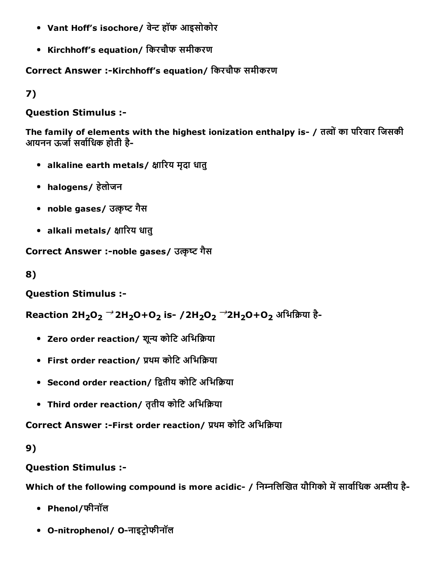- Vant Hoff's isochore/ वेन्ट हॉफ आइसोकोर
- Kirchhoff's equation/ िकरचौफ समीकरण

Correct Answer :-Kirchhoff's equation/ किरचौफ समीकरण

7)

## Question Stimulus :

The family of elements with the highest ionization enthalpy is- / तत्वों का परिवार जिसकी आयनन ऊर्जा सर्वाधिक होती है-

- alkaline earth metals/ क्षारिय मृदा धातु
- halogens/ हेलोजन
- noble gases/ उत्कृष्ट गैस
- alkali metals/ क्षारिय धातु

Correct Answer :-noble gases/ उत्कृष्ट गैस

8)

Question Stimulus :

Reaction 2H<sub>2</sub>O<sub>2</sub> <sup>→</sup> 2H<sub>2</sub>O+O<sub>2</sub> is - / 2H<sub>2</sub>O<sub>2</sub> → 2H<sub>2</sub>O+O<sub>2</sub> अभिक्रिया है-

- Zero order reaction/ शुन्य कोटि अभिक्रिया
- First order reaction/ प्रथम कोटि अभिक्रिया
- Second order reaction/ द्वितीय कोटि अभिक्रिया
- Third order reaction/ तृतीय कोटि अभिक्रिया

Correct Answer :-First order reaction/ प्रथम कोटि अभिक्रिया

## 9)

# Question Stimulus :

Which of the following compound is more acidic- / निम्नलिखित यौगिको में सार्वाधिक अम्लीय है-

- Phenol/फीनॉल
- O-nitrophenol/ O-नाइट्रोफीनॉल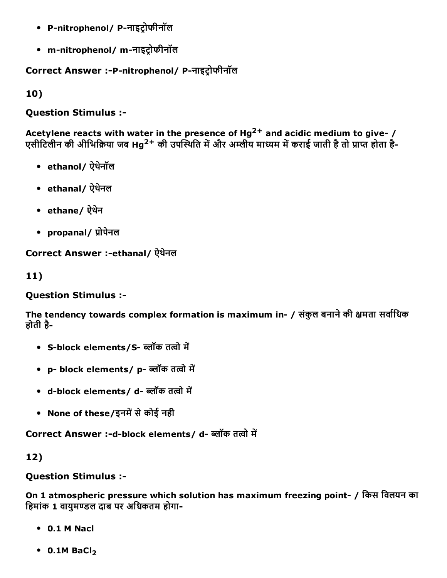- P-nitrophenol/ P-नाइट्रोफीनॉल
- m-nitrophenol/m-नाइट्रोफीनॉल

Correct Answer :-P-nitrophenol/ P-नाइट्रोफीनॉल

10)

Question Stimulus :

Acetylene reacts with water in the presence of Hg<sup>2+</sup> and acidic medium to give- / एसीटिलीन की अीभिक्रिया जब Hg<sup>2+</sup> की उपस्थिति में और अम्लीय माध्यम में कराई जाती है तो प्राप्त होता है-

- ethanol/ ऐथनेॉल
- ethanal/ ऐथेनल
- ethane/ ऐथने
- propanal/ प्रोपेनल

Correct Answer :-ethanal/ ऐथेनल

11)

Question Stimulus :

The tendency towards complex formation is maximum in- / संकुल बनाने की क्षमता सर्वाधिक होती है

- S-block elements/S- ब्लॉक तत्वो में
- p- block elements/ p- ब्लॉक तत्वो में
- d-block elements/ d- ब्लॉक तत्वो में
- None of these/इनमें से कोई नही

Correct Answer :-d-block elements/ d- ब्लॉक तत्वो में

12)

Question Stimulus :

On 1 atmospheric pressure which solution has maximum freezing point / िकस िवलयन का हिमांक 1 वायमण्डल दाब पर अधिकतम होगा-

- 0.1 M Nacl
- $\bullet$  0.1M BaCl<sub>2</sub>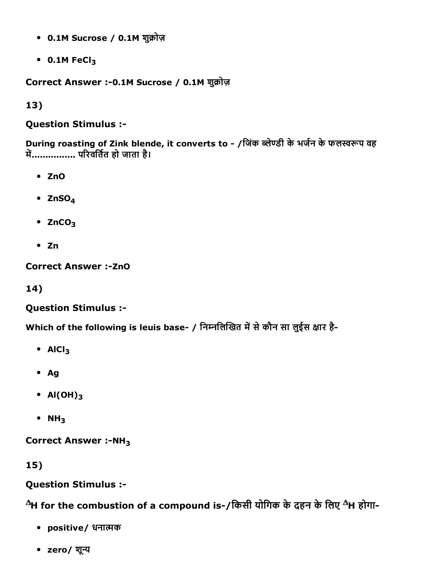- 0.1M Sucrose / 0.1M शुक्रोज़
- $\cdot$  0.1M FeCl<sub>3</sub>

Correct Answer :-0.1M Sucrose / 0.1M शुक्रोज़

13)

## Question Stimulus :

During roasting of Zink blende, it converts to - /जिंक ब्लेण्डी के भर्जन के फलस्वरूप वह म蒴................ प캣रवित檰त हो जाता है।

- ZnO
- $\bullet$  ZnSO<sub>4</sub>
- $\cdot$  ZnCO<sub>3</sub>
- $\bullet$  Zn

Correct Answer :- ZnO

14)

# Question Stimulus :

Which of the following is leuis base- / निम्नलिखित में से कौन सा लुईस क्षार है-

- $\bullet$  AlCl<sub>3</sub>
- Ag
- $AI(OH)_3$
- $\bullet$  NH<sub>3</sub>

Correct Answer  $:-NH<sub>3</sub>$ 

15)

# Question Stimulus :

 $^{\Delta}$ H for the combustion of a compound is-/किसी योगिक के दहन के लिए  $^{\Delta}$ H होगा-

- positive/ धनात्मक
- zero/ शून्य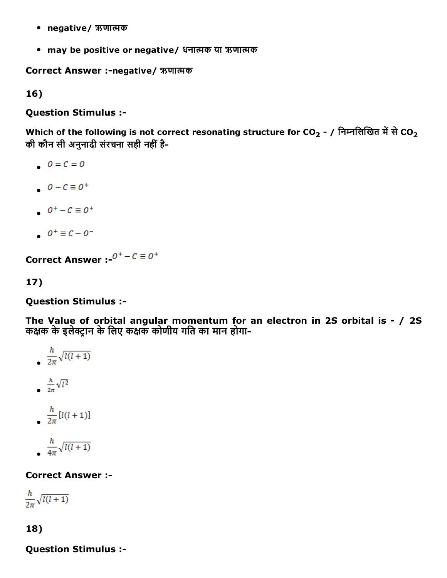- negative/ ऋणात्मक
- may be positive or negative/ धनात्मक या ऋणात्मक

Correct Answer :-negative/ ऋणात्मक

16)

Question Stimulus :

Which of the following is not correct resonating structure for CO<sub>2</sub> - / निम्नलिखित में से CO<sub>2</sub> की कौन सी अनुनादी संरचना सही नहीं है-

- $0 = C = 0$
- $0 C \equiv 0^+$
- $0^+-C \equiv 0^+$
- $0^+ \equiv C 0^-$

**Correct Answer :**  $0^+$  –  $C \equiv 0^+$ 

17)

Question Stimulus :

The Value of orbital angular momentum for an electron in 2S orbital is - / 2S कक्षक के इलेक्टान के लिए कक्षक कोणीय गति का मान होगा-

- $rac{h}{2\pi}\sqrt{l(l+1)}$  $\frac{h}{2\pi}\sqrt{l^2}$  $\frac{h}{2\pi} [l(l+1)]$
- $\frac{h}{4\pi}\sqrt{l(l+1)}$

## Correct Answer :

 $\frac{h}{2\pi}\sqrt{l(l+1)}$ 

## 18)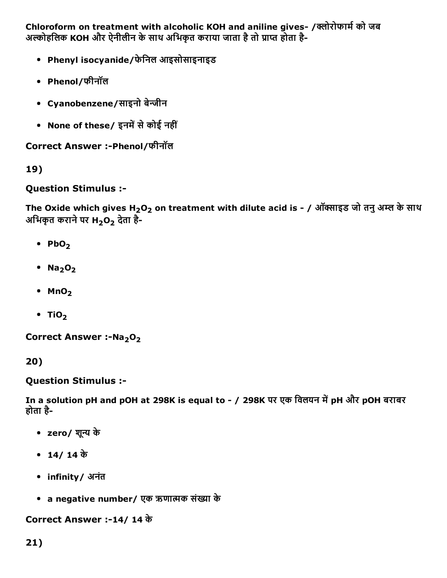Chloroform on treatment with alcoholic KOH and aniline gives- /क्लोरोफार्म को जब अल्कोहलिक KOH और ऐनीलीन के साथ अभिकृत कराया जाता है तो प्राप्त होता है-

- Phenyl isocyanide/फेिनल आइसोसाइनाइड
- Phenol/फीनॉल
- Cyanobenzene/साइनो बेन्जीन
- None of these/ इनमें से कोई नहीं

Correct Answer :Phenol/फीनॉल

19)

## Question Stimulus :

The Oxide which gives H<sub>2</sub>O<sub>2</sub> on treatment with dilute acid is - / ऑक्साइड जो तनु अम्ल के साथ अभिकृत कराने पर H<sub>2</sub>O<sub>2</sub> देता है-

- $PbO<sub>2</sub>$
- $\cdot$  Na<sub>2</sub>O<sub>2</sub>
- $•$  MnO<sub>2</sub>
- $\cdot$  TiO<sub>2</sub>

Correct Answer :-Na<sub>2</sub>O<sub>2</sub>

20)

Question Stimulus :

In a solution pH and pOH at 298K is equal to - / 298K पर एक विलयन में pH और pOH बराबर होता है

- zero/ शून्य के
- 14/ 14 के
- infinity/ अनंत
- a negative number/ एक ऋणात्मक संख्या के

Correct Answer :14/ 14 के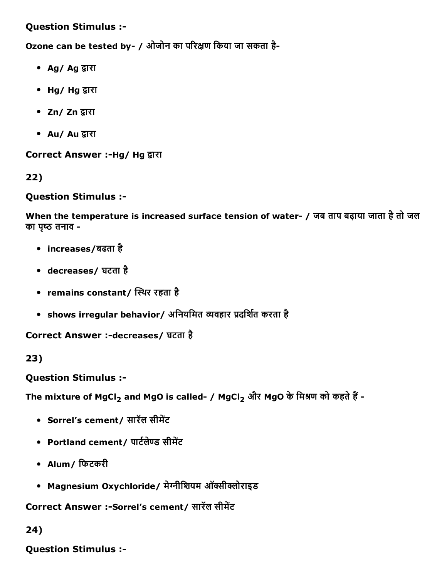Question Stimulus :

Ozone can be tested by- / ओजोन का परिक्षण किया जा सकता है-

- Ag/ Ag द्वारा
- Hg/ Hg द्वारा
- Zn/ Zn द्वारा
- Au/ Au द्वारा

Correct Answer :-Hg/ Hg द्वारा

22)

Question Stimulus :

When the temperature is increased surface tension of water- / जब ताप बढ़ाया जाता है तो जल का पृष्ठ तनाव -

- increases/बढता है
- decreases/ घटता है
- remains constant/ स्थिर रहता है
- shows irregular behavior/ अनियमित व्यवहार प्रदर्शित करता है

Correct Answer :-decreases/ घटता है

23)

Question Stimulus :

The mixture of MgCl<sub>2</sub> and MgO is called- / MgCl<sub>2</sub> और MgO के मिश्रण को कहते हैं -

- Sorrel's cement/ सारॅल सीमेंट
- Portland cement/ पार्टलेण्ड सीमेंट
- Alum/ फिटकरी
- Magnesium Oxychloride/ मेग्नीशियम ऑक्सीक्लोराइड

Correct Answer :-Sorrel's cement/ सारॅल सीमेंट

24)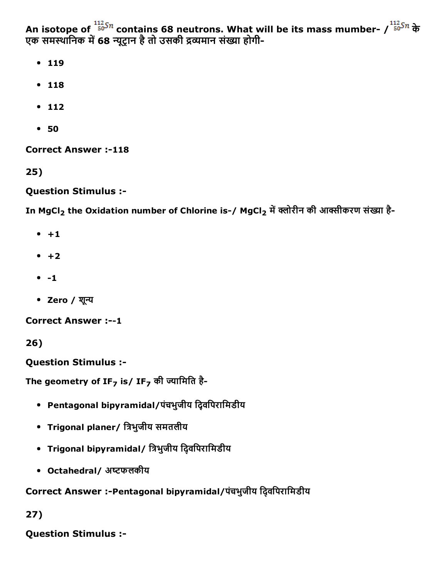An isotope of  $50^{37}$  contains 68 neutrons. What will be its mass mumber- /  $50^{37}$  के एक समस्थानिक में 68 न्यूट्रान है तो उसकी द्रव्यमान संख्या होगी-

- $119$
- $118$
- $112$
- 50

**Correct Answer :-118** 

25)

#### Question Stimulus :

In MgCl<sub>2</sub> the Oxidation number of Chlorine is-/ MgCl<sub>2</sub> में क्लोरीन की आक्सीकरण संख्या है-

- $+1$
- $+2$
- $-1$
- Zero / शून्य

**Correct Answer :--1** 

26)

Question Stimulus :

The geometry of IF<sub>7</sub> is/ IF<sub>7</sub> की ज्यामिति है-

- Pentagonal bipyramidal/पंचभुजीय िद्विपरािमडीय
- Trigonal planer/ त्रिभुजीय समतलीय
- Trigonal bipyramidal/ त्रिभुजीय दि्वपिरामिडीय
- Octahedral/ अष्टफलकीय

## Correct Answer :-Pentagonal bipyramidal/पंचभुजीय द्विवपिरामिडीय

27)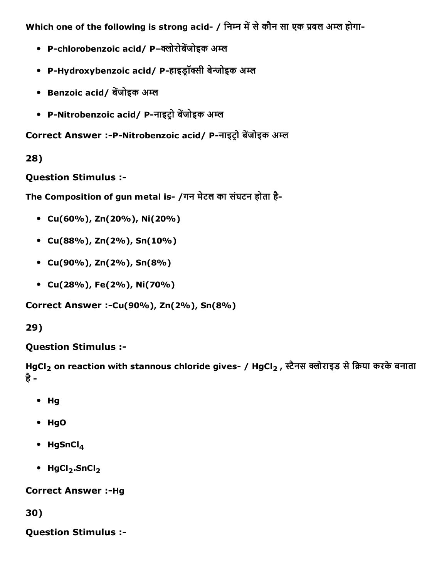Which one of the following is strong acid- / निम्न में से कौन सा एक प्रबल अम्ल होगा-

- P-chlorobenzoic acid/ P-क्लोरोबेंजोइक अम्ल
- P-Hydroxybenzoic acid/ P-हाइड्रॉक्सी बेन्जोइक अम्ल
- Benzoic acid/ बेंजोइक अम्ल
- P-Nitrobenzoic acid/ P-नाइट्रो बेंजोइक अम्ल

Correct Answer :-P-Nitrobenzoic acid/ P-नाइट्रो बेंजोइक अम्ल

#### 28)

Question Stimulus :

The Composition of gun metal is- /गन मेटल का संघटन होता है-

- Cu(60%), Zn(20%), Ni(20%)
- Cu(88%), Zn(2%), Sn(10%)
- Cu(90%), Zn(2%), Sn(8%)
- Cu(28%), Fe(2%), Ni(70%)

Correct Answer :-Cu(90%), Zn(2%), Sn(8%)

## 29)

## Question Stimulus :

```
HgCl<sub>2</sub> on reaction with stannous chloride gives- / HgCl<sub>2</sub> , स्टैनस क्लोराइड से क्रिया करके बनाता
है
```
- Hg
- HgO
- $\bullet$  HgSnCl<sub>4</sub>
- $\bullet$  HgCl<sub>2</sub>.SnCl<sub>2</sub>

## **Correct Answer :- Hg**

30)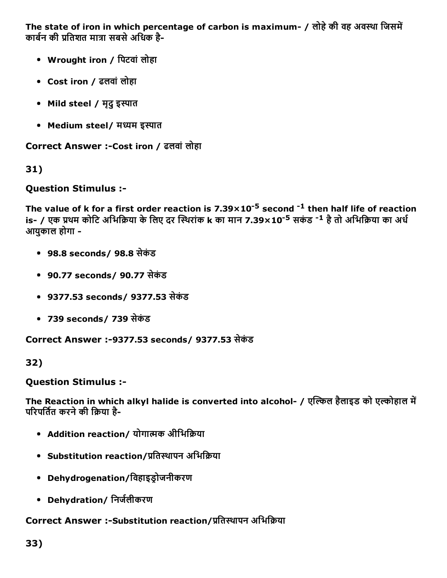The state of iron in which percentage of carbon is maximum- / लोहे की वह अवस्था जिसमें कार्बन की प्रतिशत मात्रा सबसे अधिक है-

- Wrought iron / िपटवांलोहा
- Cost iron / ढलवांलोहा
- Mild steel / मृदु इस्पात
- Medium steel/ मध्यम इस्पात

Correct Answer :-Cost iron / ढलवां लोहा

31)

## Question Stimulus :

The value of **k** for a first order reaction is 7.39 $\times$ 10<sup>-5</sup> second <sup>-1</sup> then half life of reaction is- / एक प्रथम कोटि अभिक्रिया के लिए दर स्थिरांक k का मान 7.39×10<sup>-5</sup> सकंड <sup>-1</sup> है तो अभिक्रिया का अर्ध आयुकाल होगा

- 98.8 seconds/ 98.8 सेकंड
- 90.77 seconds/ 90.77 सेकंड
- 9377.53 seconds/ 9377.53 सेकंड
- 739 seconds/ 739 सेकंड

Correct Answer :9377.53 seconds/ 9377.53 सेकंड

32)

#### Question Stimulus :

The Reaction in which alkyl halide is converted into alcohol- / एत्किल हैलाइड को एल्कोहाल में परिपर्तित करने की क्रिया है-

- Addition reaction/ योगात्मक अीभिक्रिया
- Substitution reaction/प्रतिस्थापन अभिक्रिया
- Dehydrogenation/विहाइडोजनीकरण
- Dehydration/ निर्जलीकरण

## Correct Answer :-Substitution reaction/प्रतिस्थापन अभिक्रिया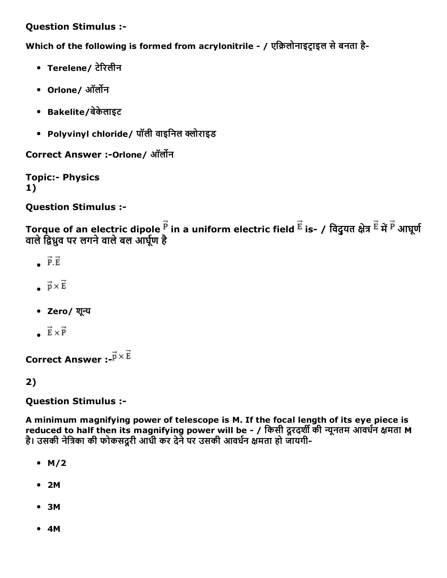## Question Stimulus :

Which of the following is formed from acrylonitrile - / एक्रिलोनाइट्राइल से बनता है-

- Terelene/ टेरिलीन
- Orlone/अॉर्लोन
- Bakelite/बेकेलाइट
- Polyvinyl chloride/ पॉली वाइनिल क्लोराइड

Correct Answer :- Orlone/ ऑर्लोन

**Topic:- Physics** 1)

Question Stimulus :

Torque of an electric dipole  $\vec{F}$  in a uniform electric field  $\vec{E}$  is- / विदुयत क्षेत्र  $\vec{E}$  में  $\vec{P}$  आघूर्ण वाले द्विध्नुव पर लगने वाले बल आर्घूण है

- $\vec{P} \cdot \vec{E}$
- $\vec{p} \times \vec{E}$
- Zero/ शून्य
- $\vec{E} \times \vec{P}$

Correct Answer :  $\vec{p} \times \vec{E}$ 

2)

Question Stimulus :

A minimum magnifying power of telescope is M. If the focal length of its eye piece is reduced to half then its magnifying power will be - / किसी दूरदर्शी की न्यूनतम आवर्धन क्षमता M है। उसकी नेत्रिका की फोकसदुरी आधी कर देने पर उसकी आवर्धन क्षमता हो जायगी-

- $-M/2$
- 2M
- 3M
- 4M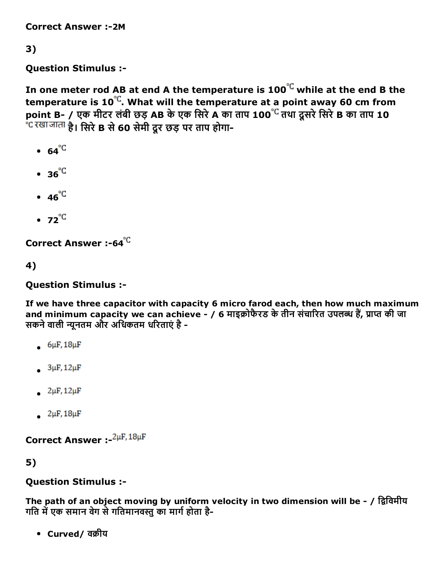Correct Answer :2M

## 3)

Question Stimulus :

In one meter rod AB at end A the temperature is  $100^{\degree}$  while at the end B the temperature is  $10^{\degree}$ . What will the temperature at a point away 60 cm from point B- / एक मीटर लंबी छड़ AB के एक सिरे A का ताप 100<sup>°C</sup> तथा दूसरे सिरे B का ताप 10  $^{\circ}$ दखाजाता है। सिरे B से 60 सेमी दूर छड़ पर ताप होगा-

- $\cdot$  64<sup>°C</sup>
- $\cdot$  36<sup>°C</sup>
- $\cdot$  46<sup>°C</sup>
- $\bullet$  72<sup>°C</sup>

Correct Answer :-64<sup>°C</sup>

4)

Question Stimulus :

If we have three capacitor with capacity 6 micro farod each, then how much maximum and minimum capacity we can achieve - / 6 माइक्रोफैरड के तीन संचारित उपलब्ध हैं, प्राप्त की जा सकने वाली न्यूनतम और अधिकतम धरिताएं है -

- $6\mu$ F, 18 $\mu$ F
- $3\mu$ F, 12 $\mu$ F
- $2\mu$ F,  $12\mu$ F
- $2\mu$ F,  $18\mu$ F

Correct Answer :- <sup>2µF, 18µF</sup>

5)

#### Question Stimulus :

The path of an object moving by uniform velocity in two dimension will be - / द्विविमीय गति में एक समान वेग से गतिमानवस्तु का मार्ग होता है-

• Curved/वक्रीय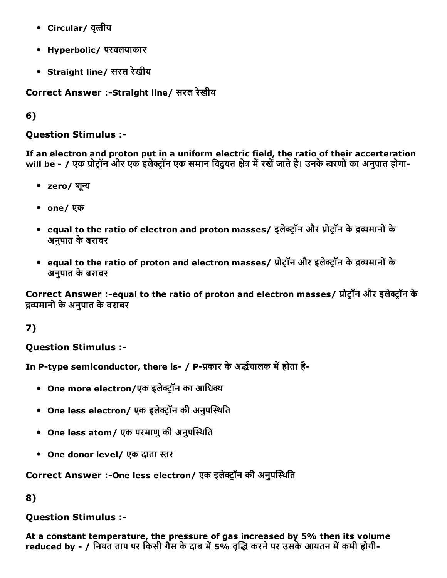- Circular/ वृत्तीय
- Hyperbolic/ परवलयाकार
- Straight line/ सरल रेखीय

Correct Answer :-Straight line/ सरल रेखीय

6)

Question Stimulus :

If an electron and proton put in a uniform electric field, the ratio of their accerteration will be - / एक प्रोटॉन और एक इलेक्ट्रॉन एक समान विद्यत क्षेत्र में रखें जाते है। उनके त्वरणों का अनुपात होगा-

- zero/ शून्य
- one/एक
- equal to the ratio of electron and proton masses/ इलेक्ट्रॉन और प्रोट्रॉन के द्रव्यमानों के अनुपात केबराबर
- equal to the ratio of proton and electron masses/ प्रोट्रॉन और इलेक्ट्रॉन के द्रव्यमानों के अनुपात केबराबर

Correct Answer :-equal to the ratio of proton and electron masses/ प्रोट्रॉन और इलेक्ट्रॉन के ᒱĀयमानोंकेअनुपात केबराबर

## 7)

Question Stimulus :

In P-type semiconductor, there is- / P-प्रकार के अर्द्धचालक में होता है-

- One more electron/एक इलेक्ट्रॉन का आधिक्य
- One less electron/ एक इलेक्ट्रॉन की अनुपस्थिति
- One less atom/ एक परमाणु की अनुपस्थिति
- One donor level/ एक दाता स्तर

Correct Answer :-One less electron/ एक इलेक्टॉन की अनुपस्थिति

8)

## Question Stimulus :

At a constant temperature, the pressure of gas increased by 5% then its volume reduced by - / नियत ताप पर किसी गैस के दाब में 5% वृद्धि करने पर उसके आयतन में कमी होगी-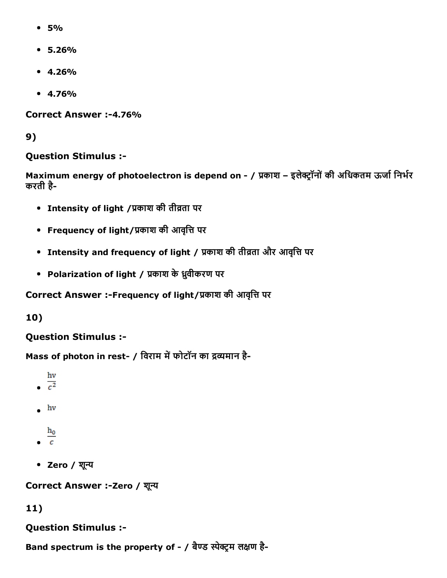- $5%$
- 5.26%
- $4.26%$
- $4.76%$

Correct Answer :-4.76%

9)

#### Question Stimulus :

Maximum energy of photoelectron is depend on - / प्रकाश - इलेक्ट्रॉनों की अधिकतम ऊर्जा निर्भर करती है

- Intensity of light /काश की तीვता पर
- Frequency of light/प्रकाश की आवृत्ति पर
- Intensity and frequency of light / प्रकाश की तीव्रता और आवृत्ति पर
- Polarization of light / प्रकाश के ध्रुवीकरण पर

Correct Answer :-Frequency of light/प्रकाश की आवृत्ति पर

10)

## Question Stimulus :

Mass of photon in rest- / विराम में फोटॉन का द्रव्यमान है-

- hv
- $\frac{1}{c^2}$
- $-$  hv
- $h_0$
- $\epsilon$
- Zero / शून्य

Correct Answer :- Zero / शून्य

#### 11)

#### Question Stimulus :

Band spectrum is the property of - / बैण्ड स्पेक्ट्रम लक्षण है-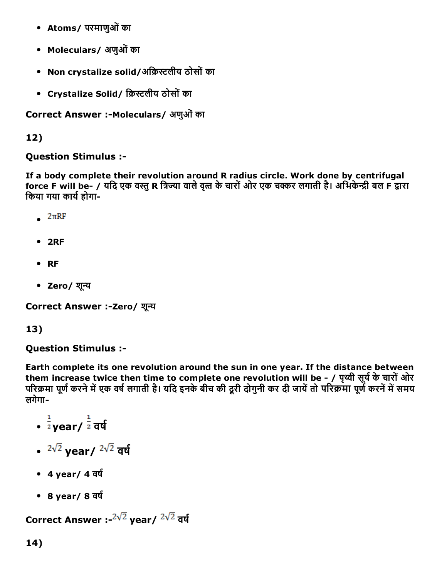- Atoms/ परमाणुओं का
- Moleculars/ अणुओं का
- Non crystalize solid/अक्रिस्टलीय ठोसों का
- Crystalize Solid/ क्रिस्टलीय ठोसों का

Correct Answer :- Moleculars/ अणुओं का

12)

Question Stimulus :

If a body complete their revolution around R radius circle. Work done by centrifugal force F will be- / यदि एक वस्तु R त्रिज्या वाले वृत्त के चारों ओर एक चक्कर लगाती है। अभिकेन्द्री बल F द्वारा किया गया कार्य होगा-

- $2\pi RF$
- 2RF
- RF
- Zero/ शून्य

Correct Answer :-Zero/ शून्य

#### 13)

#### Question Stimulus :

Earth complete its one revolution around the sun in one year. If the distance between them increase twice then time to complete one revolution will be - / पृथ्वी सूर्य के चारों ओर परिक्रमा पूर्ण करने में एक वर्ष लगाती है। यदि इनके बीच की दूरी दोगुनी कर दी जायें तो परिक्रमा पूर्ण करनें में समय लगेगा

- $\frac{1}{2}$ year/  $\frac{1}{2}$  वर्ष
- $2\sqrt{2}$  year/  $2\sqrt{2}$  वर्ष
- $4 \text{ year} / 4 \overline{\phantom{0}}$ र्ष
- $\cdot$  8 year/8 वर्ष

Correct Answer :- $2\sqrt{2}$  year/  $2\sqrt{2}$  वर्ष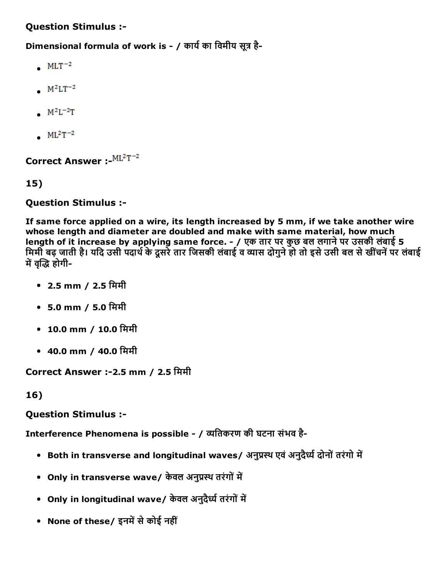## Question Stimulus :

Dimensional formula of work is - / कार्य का विमीय सूत्र है-

- $\bullet$  MLT<sup>-2</sup>
- $M^2LT^{-2}$
- $M^2L^{-2}T$
- $ML^2T^{-2}$

Correct Answer : ML<sup>2</sup>T<sup>-2</sup>

15)

#### Question Stimulus :

If same force applied on a wire, its length increased by 5 mm, if we take another wire whose length and diameter are doubled and make with same material, how much length of it increase by applying same force. - / एक तार पर कुछ बल लगाने पर उसकी लंबाई 5 मिमी बढ़ जाती है। यदि उसी पदार्थ के दूसरे तार जिसकी लंबाई व व्यास दोगुने हो तो इसे उसी बल से खींचनें पर लंबाई में वद्धि होगी-

- 2.5 mm / 2.5 िममी
- 5.0 mm / 5.0 िममी
- 10.0 mm / 10.0 मिमी
- 40.0 mm / 40.0 िममी

Correct Answer :-2.5 mm / 2.5 मिमी

16)

## Question Stimulus :

Interference Phenomena is possible - / व्यतिकरण की घटना संभव है-

- Both in transverse and longitudinal waves/ अनुप्रस्थ एवं अनुदैर्ध्य दोनों तरंगो में
- Only in transverse wave/ केवल अनुप्रस्थ तरंगों में
- Only in longitudinal wave/ केवल अनुदैर्ध्य तरंगों में
- None of these/ इनमें से कोई नहीं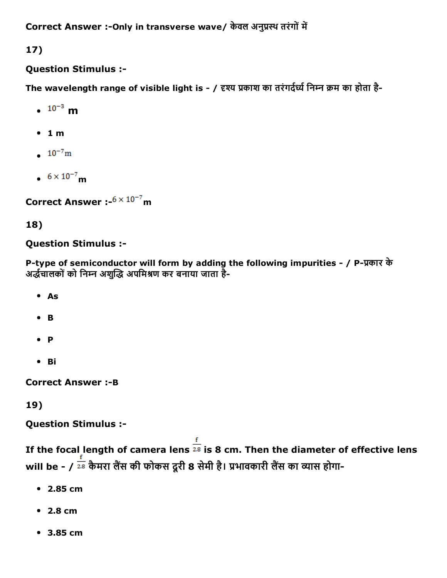Correct Answer :- Only in transverse wave/ केवल अनुप्रस्थ तरंगों में

17)

## Question Stimulus :

The wavelength range of visible light is - / दृश्य प्रकाश का तरंगर्दर्ध्य निम्न क्रम का होता है-

- $\cdot$   $10^{-3}$  m
- $-1 m$
- $10^{-7}$ m
- $6 \times 10^{-7}$  m

Correct Answer :  $6 \times 10^{-7}$  m

## 18)

## Question Stimulus :

P-type of semiconductor will form by adding the following impurities - / P-प्रकार के अर्द्धचालकों को निम्न अशुद्धि अपमिश्रण कर बनाया जाता है-

- As
- $\bullet$  B
- $\bullet$  **P**
- Bi

**Correct Answer :- B** 

19)

Question Stimulus :

If the focal length of camera lens  $\frac{f}{28}$  is 8 cm. Then the diameter of effective lens will be - /  $\frac{1}{28}$  कैमरा लैंस की फोकस दूरी 8 सेमी है। प्रभावकारी लैंस का व्यास होगा-

- 2.85 cm
- 2.8 cm
- 3.85 cm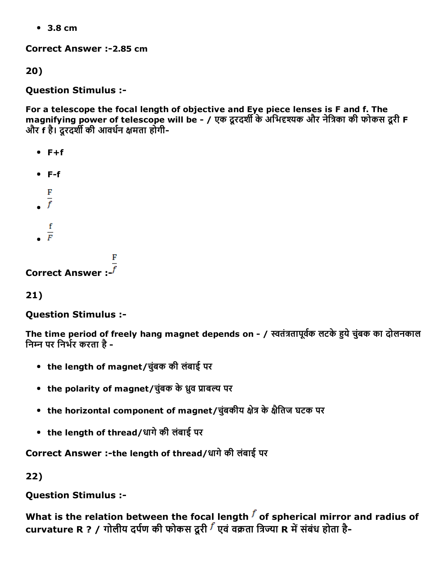3.8 cm

Correct Answer :-2.85 cm

20)

Question Stimulus :

For a telescope the focal length of objective and Eye piece lenses is F and f. The magnifying power of telescope will be - / एक दूरदर्शी के अभिदृश्यक और नेत्रिका की फोकस दूरी F और f है। दूरदर्शी की आवर्धन क्षमता होगी-

- $F + f$
- $F-f$
- 
- $\frac{F}{f}$
- f
- $\frac{1}{F}$

Correct Answer :

21)

Question Stimulus :

The time period of freely hang magnet depends on - / स्वतंत्रतापूर्वक लटके हये चुंबक का दोलनकाल निम्न पर निर्भर करता है -

- the length of magnet/चबुंक की लंबाई पर
- the polarity of magnet/चुंबक के ध्रुव प्राबल्य पर
- the horizontal component of magnet/चुंबकीय क्षेत्र के क्षैतिज घटक पर
- the length of thread/धागेकी लंबाई पर

Correct Answer :- the length of thread/धागे की लंबाई पर

22)

Question Stimulus :

What is the relation between the focal length  $f$  of spherical mirror and radius of curvature R ? / गोलीय दर्पण की फोकस दूरी  $^f$  एवं वक्रता त्रिज्या R में संबंध होता है-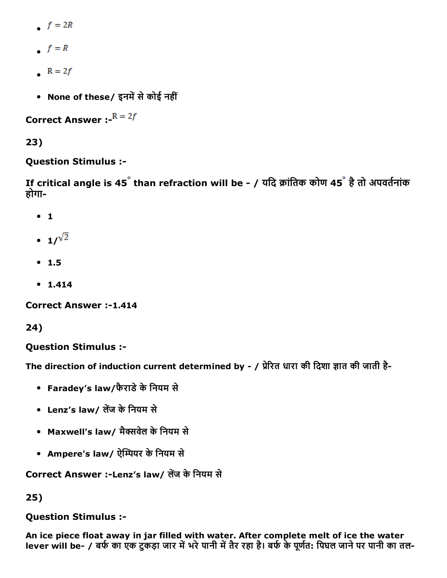- $f = 2R$
- $f = R$
- $R = 2f$
- None of these/ इनमें से कोई नहीं

**Correct Answer :-** $R = 2f$ 

23)

## Question Stimulus :

If critical angle is 45<sup>°</sup> than refraction will be - / यदि क्रांतिक कोण 45<sup>°</sup> है तो अपवर्तनांक होगा

- $\bullet$  1
- $1/\sqrt{2}$
- $1.5$
- $1.414$

Correct Answer :-1.414

24)

Question Stimulus :

The direction of induction current determined by - / प्रेरित धारा की दिशा ज्ञात की जाती है-

- Faradey's law/फैराडे के नियम से
- Lenz's law/ लेंज के नियम से
- Maxwell's law/ मैक्सवेल के नियम से
- Ampere's law/ ऐम्पियर के नियम से

Correct Answer :-Lenz's law/ लेंज के नियम से

25)

## Question Stimulus :

An ice piece float away in jar filled with water. After complete melt of ice the water lever will be- / बर्फ का एक टुकड़ा जार में भरे पानी में तैर रहा है। बर्फ के पूर्णत: पिघल जाने पर पानी का तल-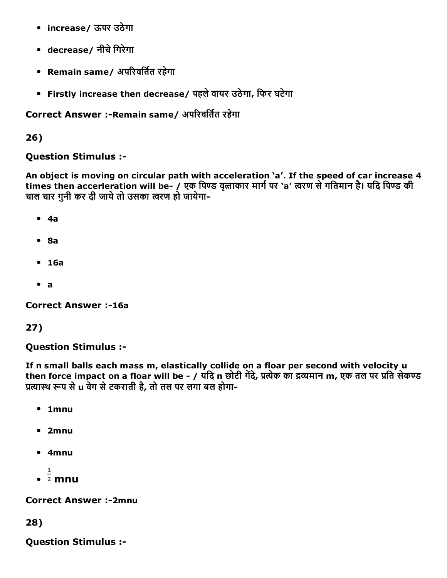- increase/ ऊपर उठेगा
- decrease/ नीचे गिरेगा
- Remain same/ अपरिवर्तित रहेगा
- Firstly increase then decrease/ पहलेवायर उठेगा, िफर घटेगा

## Correct Answer :-Remain same/ अपरिवर्तित रहेगा

26)

Question Stimulus :

An object is moving on circular path with acceleration 'a'. If the speed of car increase 4 times then accerleration will be- / एक पिण्ड वृत्ताकार मार्ग पर 'a' त्वरण से गतिमान है। यदि पिण्ड की चाल चार गुनी कर दी जाये तो उसका त्वरण हो जायेगा-

- 4a
- $8a$
- 16a
- a

**Correct Answer :-16a** 

#### 27)

Question Stimulus :

If n small balls each mass m, elastically collide on a floar per second with velocity u then force impact on a floar will be - / यदि n छोटी गेंदे, प्रत्येक का द्रव्यमान m, एक तल पर प्रति सेकण्ड प्रत्यास्थ रूप से u वेग से टकराती है, तो तल पर लगा बल होगा-

- 1mnu
- 2mnu
- 4mnu
- $\frac{1}{2}$  mnu

**Correct Answer :-2mnu** 

28)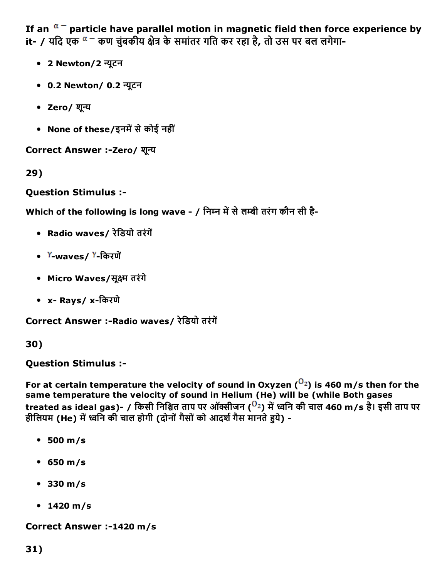If an  $\alpha$ <sup>-</sup> particle have parallel motion in magnetic field then force experience by it- / यदि एक <sup>α –</sup> कण चुंबकीय क्षेत्र के समांतर गति कर रहा है, तो उस पर बल लगेगा-

- 2 Newton/2 न्यूटन
- 0.2 Newton/ 0.2 न्यूटन
- Zero/ शून्य
- None of these/इनमें से कोई नहीं

Correct Answer :- Zero/ शून्य

29)

Question Stimulus :

Which of the following is long wave - / निम्न में से लम्बी तरंग कौन सी है-

- Radio waves/ रेडियो तरंगें
- Y-waves/Y-किरणें
- Micro Waves/सूक्ष्म तरंगे
- x- Rays/x-किरणे

Correct Answer :-Radio waves/ रेडियो तरंगें

30)

Question Stimulus :

For at certain temperature the velocity of sound in Oxyzen  $(0<sup>2</sup>)$  is 460 m/s then for the same temperature the velocity of sound in Helium (He) will be (while Both gases treated as ideal gas)- / किसी निश्चित ताप पर ऑक्सीजन ( $^{O_2}$ ) में ध्वनि की चाल 460 m/s है। इसी ताप पर हीलियम (He) में ध्वनि की चाल होगी (दोनों गैसों को आदर्श गैस मानते हये) -

- 500 m/s
- 650 m/s
- 330 m/s
- 1420 m/s

Correct Answer :-1420 m/s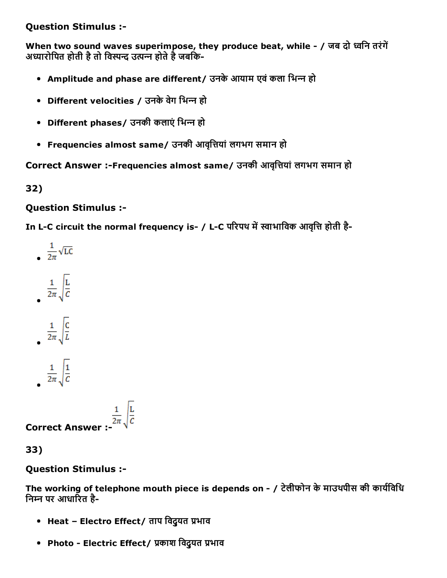Question Stimulus :

When two sound waves superimpose, they produce beat, while - / जब दो ध्वनि तरंगें अध्यारोपित होती है तो विस्पन्द उत्पन्न होते है जबकि-

- Amplitude and phase are different/ उनके आयाम एवं कला भिन्न हो
- Different velocities / उनके वेग भिन्न हो
- Different phases/ उनकी कलाएं भिन्न हो
- Frequencies almost same/ उनकी आवृत्तियां लगभग समान हो

Correct Answer :-Frequencies almost same/ उनकी आवृत्तियां लगभग समान हो

32)

## Question Stimulus :

In L-C circuit the normal frequency is- / L-C परिपथ में स्वाभाविक आवृत्ति होती है-

- $\frac{1}{2\pi}\sqrt{LC}$
- $rac{1}{2\pi}\sqrt{\frac{L}{C}}$

$$
\frac{1}{2\pi}\sqrt{\frac{C}{L}}
$$

$$
\frac{1}{2\pi}\sqrt{\frac{1}{6}}
$$

**Correct Answer :-**  $\frac{1}{2\pi} \sqrt{\frac{L}{C}}$ 

33)

## Question Stimulus :

The working of telephone mouth piece is depends on -  $/$  टेलीफोन के माउथपीस की कार्यविधि निम्न पर आधारित है-

- Heat Electro Effect/ ताप विदुयत प्रभाव
- Photo Electric Effect/ प्रकाश विदुयत प्रभाव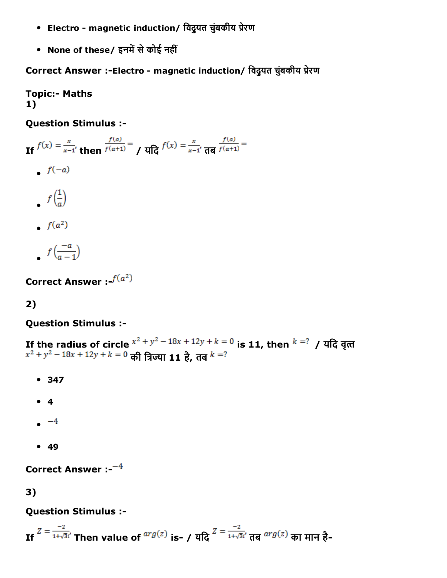- Electro magnetic induction/ विदुयत चुंबकीय प्रेरण
- None of these/ इनमें से कोई नहीं

Correct Answer :-Electro - magnetic induction/ विदुयत चुंबकीय प्रेरण

**Topic:- Maths** 1)

Question Stimulus :

If  $f(x) = \frac{x}{x-1}$ , then  $\frac{f(a)}{f(a+1)} = \int \frac{\pi}{a} f(x) dx = \frac{x}{x-1}$ ,  $\frac{f(a)}{f(a+1)} = \frac{f(a)}{x-1}$  $f(-a)$  $f\left(\frac{1}{a}\right)$  $\bullet$   $f(a^2)$ 

 $f\left(\frac{-a}{a-1}\right)$ 

Correct Answer :- $f(a^2)$ 

# 2)

Question Stimulus :

If the radius of circle  $x^2 + y^2 - 18x + 12y + k = 0$  is 11, then  $k = ?$  / यदि वृत्त की त्रिज्या 11 है, तब

- 347
- 4
- $-4$
- $49$

Correct Answer  $: -4$ 

3)

## Question Stimulus :

If  $Z = \frac{-2}{1+\sqrt{3}i'}$  Then value of  $\frac{arg(z)}{i}$  is- / यदि  $Z = \frac{-2}{1+\sqrt{3}i'}$  तब  $\frac{arg(z)}{i}$  का मान है-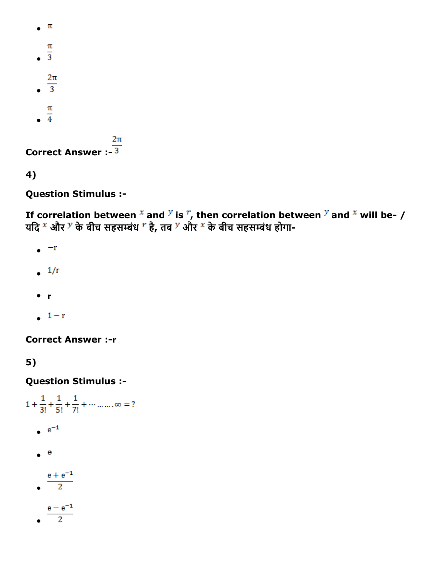```
\bullet \pi\pi\overline{\overline{3}}2\pi\overline{\textbf{3}}\frac{\pi}{4}2\piCorrect Answer :-\frac{1}{3}
```

```
4)
```
Question Stimulus :

If correlation between  $x$  and  $y$  is  $r$ , then correlation between  $y$  and  $x$  will be- / यदि <sup>x</sup> और <sup>y</sup> के बीच सहसम्बंध <sup>r</sup> है, तब <sup>y</sup> और <sup>x</sup> के बीच सहसम्बंध होगा-

- $\bullet$  -r
- $\frac{1}{r}$
- r
- $1-r$

**Correct Answer :- r** 

5)

```
1 + \frac{1}{3!} + \frac{1}{5!} + \frac{1}{7!} + \cdots \ldots \ldots \infty = ?e^{-1}\bullet e
             \frac{e + e^{-1}}{2}\overline{2}\frac{e-e^{-1}}{2}
```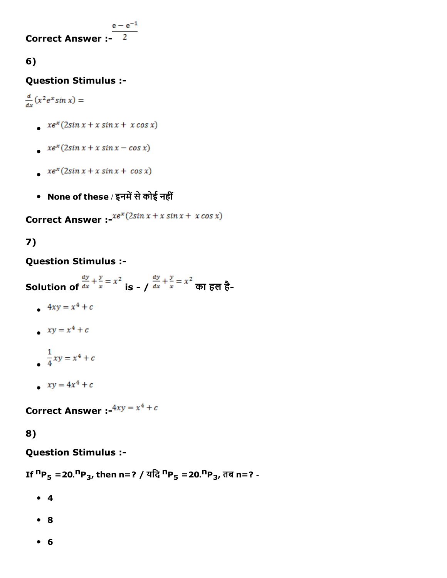**Correct Answer :-**  $\frac{e-e^{-1}}{2}$ 

# 6)

## Question Stimulus :

 $\frac{d}{dx}(x^2e^x\sin x) =$ 

- $xe^x(2\sin x + x \sin x + x \cos x)$
- $xe^x(2sin x + x sin x cos x)$
- $xe^x(2\sin x + x \sin x + \cos x)$
- None of these / इनमें से कोई नहीं

**Correct Answer :-** $xe^{x}(2sin x + x sin x + x cos x)$ 

# 7)

## Question Stimulus :

Solution of  $\frac{dy}{dx} + \frac{y}{x} = x^2$  is  $/$   $\frac{dy}{dx} + \frac{y}{x} = x^2$  का हल है-

- $4xy = x^4 + c$
- $xy = x^4 + c$
- $\frac{1}{4}xy = x^4 + c$
- $xy = 4x^4 + c$

**Correct Answer :-** $4xy = x^4 + c$ 

# 8)

## Question Stimulus :

If  ${}^{n}P_5 = 20$ . ${}^{n}P_3$ , then n=? / यदि  ${}^{n}P_5 = 20$ . ${}^{n}P_3$ , तब n=? -

- 4
- 8
- 6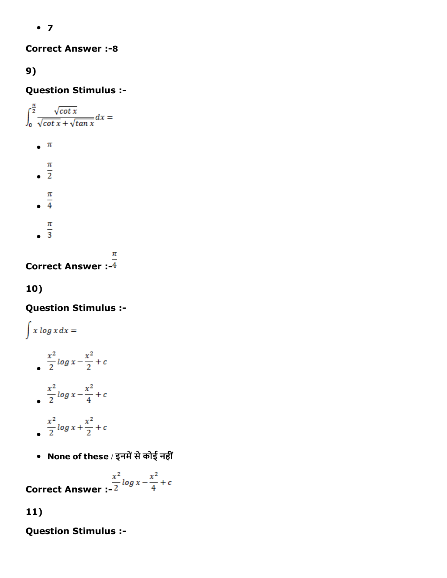$• 7$ 

**Correct Answer :- 8** 

# 9)

Question Stimulus :

 $\int_{0}^{\frac{\pi}{2}}\!\frac{\sqrt{\cot x}}{\sqrt{\cot x}+\sqrt{\tan x}}dx=$  $\bullet$   $\pi$ 

- $\frac{\pi}{2}$
- 
- $\frac{\pi}{4}$
- $\frac{\pi}{3}$
- 

π Correct Answer :

# 10)

Question Stimulus :

$$
\int x \log x \, dx =
$$
\n
$$
\int \frac{x^2}{2} \log x - \frac{x^2}{2} + c
$$
\n
$$
\int \frac{x^2}{2} \log x - \frac{x^2}{4} + c
$$

- $\frac{x^2}{2}log x + \frac{x^2}{2} + c$
- None of these / इनमें से कोई नहीं

Correct Answer :-2  $\int \frac{x^2}{2} \log x - \frac{x^2}{4} + c$ 

# 11)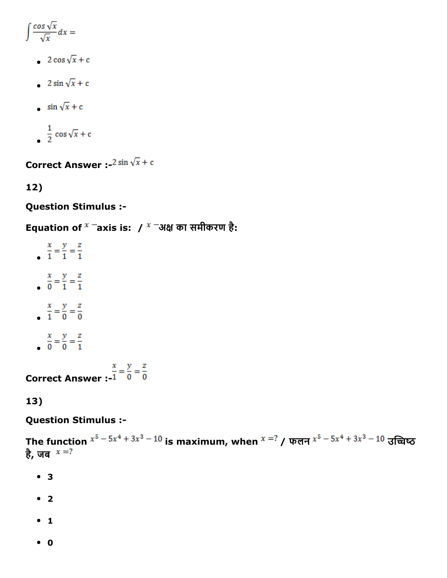$$
\int \frac{\cos \sqrt{x}}{\sqrt{x}} dx =
$$

- 2 cos  $\sqrt{x}$  + c
- 2 sin  $\sqrt{x}$  + c
- $\sin \sqrt{x} + c$
- $\frac{1}{2}$  cos  $\sqrt{x}$  + c

**Correct Answer :**  $2 \sin \sqrt{x} + c$ 

12)

Question Stimulus :

Equation of  $^x$  Taxis is: /  $^x$  Tअक्ष का समीकरण है:

- $rac{x}{1} = \frac{y}{1} = \frac{z}{1}$  $rac{x}{0} = \frac{y}{1} = \frac{z}{1}$  $\frac{x}{1} = \frac{y}{0} = \frac{z}{0}$
- $rac{x}{0} = \frac{y}{0} = \frac{z}{1}$

**Correct Answer :-** $\frac{x}{1} = \frac{y}{0} = \frac{z}{0}$ 

13)

## Question Stimulus :

The function  $x^5 - 5x^4 + 3x^3 - 10$  is maximum, when  $x = ?$  / फलन  $x^5 - 5x^4 + 3x^3 - 10$  उच्चिष्ठ है , जब

- 3
- $2$
- $1$
- 0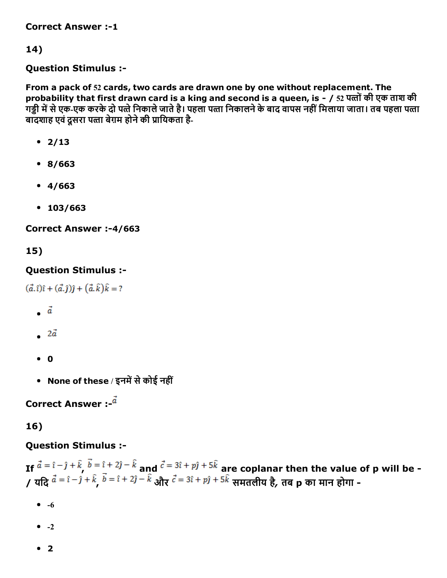**Correct Answer :-1** 

14)

#### Question Stimulus :

From a pack of 52 cards, two cards are drawn one by one without replacement. The probability that first drawn card is a king and second is a queen, is - / 52 पत्तों की एक ताश की गड्डी में से एक-एक करके दो पत्ते निकाले जाते है। पहला पत्ता निकालने के बाद वापस नहीं मिलाया जाता। तब पहला पत्ता बादशाह एवं दूसरा पत्ता बेग़म होने की प्रायिकता है-

- $2/13$
- 8/663
- 4/663
- 103/663

Correct Answer :-4/663

15)

#### Question Stimulus :

 $(\vec{a}.\hat{i})\hat{i} + (\vec{a}.\hat{j})\hat{j} + (\vec{a}.\hat{k})\hat{k} = ?$ 

- $\ddot{a}$
- $\overline{a}$
- $\bullet$  0
- None of these / इनमें से कोई नहीं

Correct Answer  $\cdot$   $\frac{d}{dx}$ 

## 16)

## Question Stimulus :

If  $a = i - j + \kappa$ ,  $b = i + 2j - \kappa$  and  $c = 3i + pj + 3\kappa$  are coplanar then the value of p will be -/ यदि <sup>a = i - j + k <sup>b = i + zj - k</sup> और <sup>c = 3i + pj + <sup>3k</sup> समतलीय है, तब p का मान होगा -</sup></sup>

- $\bullet$  -6
- $\bullet$  -2
- $2$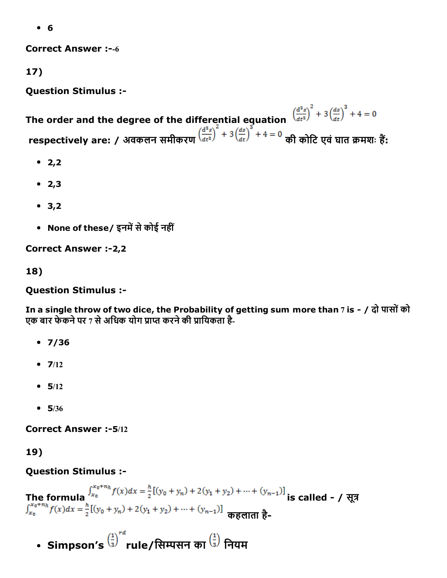6

**Correct Answer :--6** 

17)

Question Stimulus :

The order and the degree of the differential equation  $\left(\frac{d^2s}{dt^2}\right)^2 + 3\left(\frac{ds}{dt}\right)^3 + 4 = 0$ respectively are: / अवकलन समीकरण प्लेंक्ष्य कर्णाट की कोटि एवं घात क्रमशः हैं:

- $2,2$
- $2,3$
- $3,2$
- None of these/ इनमें से कोई नहीं

**Correct Answer :- 2,2** 

18)

Question Stimulus :

In a single throw of two dice, the Probability of getting sum more than 7 is - / दो पासों को एक बार फेकने पर 7 से अधिक योग प्राप्त करने की प्रायिकता है-

- $•7/36$
- $7/12$
- $-5/12$
- $-5/36$

Correct Answer :-5/12

19)

## Question Stimulus :

The formula  $\int_{x_0}^{x_0+n_h} f(x) dx = \frac{h}{2} [(y_0 + y_n) + 2(y_1 + y_2) + \dots + (y_{n-1})]$  is called - / सूत्र  $\int_{x_0}^{x_0+n_h} f(x) dx = \frac{h}{2} [(y_0 + y_n) + 2(y_1 + y_2) + \dots + (y_{n-1})]$  कहलाता है-

• Simpson's  $\left(\frac{1}{3}\right)^{rd}$ rule/सिम्पसन का  $\left(\frac{1}{3}\right)$  नियम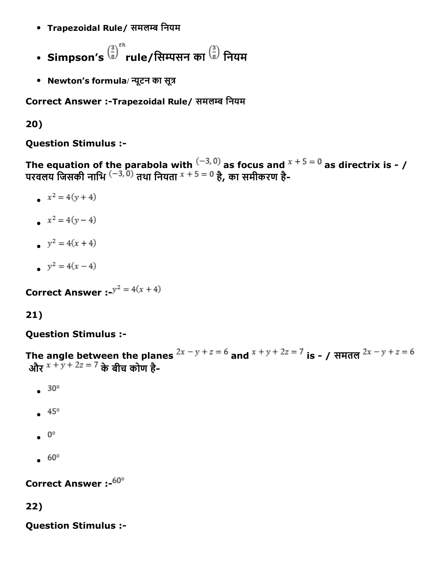- Trapezoidal Rule/ समलम्ब नियम
- Simpson's  $\binom{3}{8}^{th}$ rule/सिम्पसन का  $\binom{3}{8}$  नियम
- Newton's formula/ न्यूटन का सूत्र

Correct Answer :-Trapezoidal Rule/ समलम्ब नियम

20)

Question Stimulus :

The equation of the parabola with  $\left( -3,0\right)$  as focus and  $x + 5 = 0$  as directrix is - / परवलय जिसकी नाभि <sup>(–3, 0)</sup> तथा नियता <sup>x + 5 = 0</sup> है, का समीकरण है-

- $x^2 = 4(y+4)$
- $x^2 = 4(y-4)$
- $y^2 = 4(x + 4)$
- $y^2 = 4(x-4)$

**Correct Answer** :  $y^2 = 4(x + 4)$ 

## 21)

Question Stimulus :

The angle between the planes  $2x - y + z = 6$  and  $x + y + 2z = 7$  is - / समतल  $2x - y + z = 6$ और  $x + y + 2z = 7$  के बीच कोण है-

- $\bullet$  30 $^{\circ}$
- $.45°$
- $\bullet$  0°
- $.60°$

Correct Answer :- 60°

#### 22)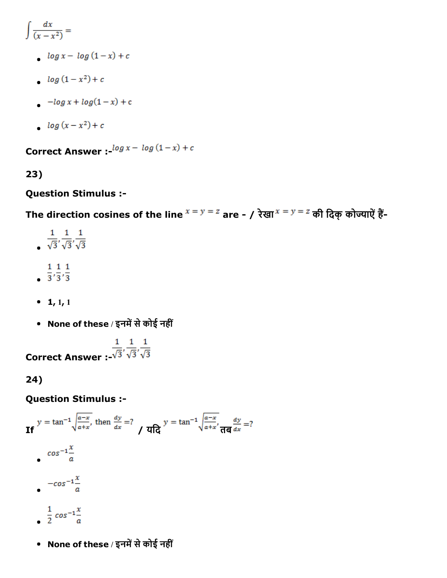$$
\int \frac{dx}{(x-x^2)} =
$$

- $log x log (1-x) + c$
- $log(1-x^2) + c$
- $-\log x + \log(1-x) + c$
- $log(x x^2) + c$

**Correct Answer :-** $\frac{\log x - \log(1-x) + c}{x}$ 

## 23)

## Question Stimulus :

The direction cosines of the line  $x = y = z$  are - / रेखा $x = y = z$  की दिक् कोज्याऐं हैं-

- $rac{1}{\sqrt{3}}, \frac{1}{\sqrt{3}}, \frac{1}{\sqrt{3}}$
- $\frac{1}{3}, \frac{1}{3}, \frac{1}{3}$
- 
- $\bullet$  1, 1, 1
- None of these / इनमें से कोई नहीं

Correct Answer :- $\frac{1}{\sqrt{3}}, \frac{1}{\sqrt{3}}, \frac{1}{\sqrt{3}}$ 

24)

## Question Stimulus :

$$
y = \tan^{-1} \sqrt{\frac{a-x}{a+x}}, \text{ then } \frac{dy}{dx} = ?
$$
\n
$$
y = \tan^{-1} \sqrt{\frac{a-x}{a+x}}, \frac{dy}{d\theta} = ?
$$
\n
$$
\cos^{-1} \frac{x}{a}
$$
\n
$$
-\cos^{-1} \frac{x}{a}
$$
\n
$$
\frac{1}{2} \cos^{-1} \frac{x}{a}
$$

• None of these / इनमें से कोई नहीं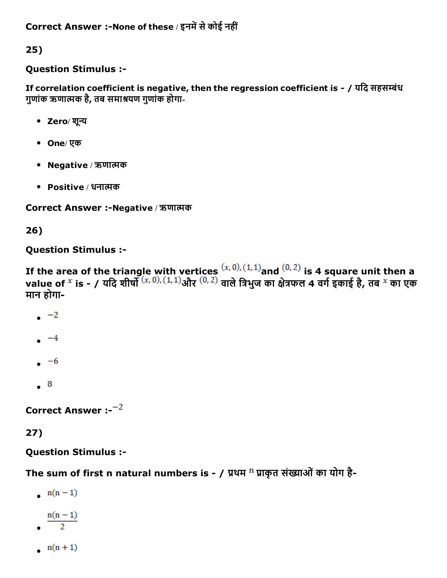25)

## Question Stimulus :

If correlation coefficient is negative, then the regression coefficient is - / यदि सहसम्बंध गुणांक ऋणात्मक है, तब समाश्रयण गुणांक होगा-

- Zero/ शुन्य
- One/ एक
- Negative / ऋणात्मक
- Positive / धनात्मक

Correct Answer :-Negative / ऋणात्मक

26)

## Question Stimulus :

If the area of the triangle with vertices  $(x, 0)$ ,  $(1, 1)$  and  $(0, 2)$  is 4 square unit then a value of <sup>x</sup> is - / यदि शीर्षों <sup>(x, 0),(1,1)</sup>और <sup>(0,2)</sup> वाले त्रिभुज का क्षेत्रफल 4 वर्ग इकाई है, तब <sup>x</sup> का एक मान होगा

- $\sim$   $-2$
- $-4$
- $-6$
- $\ddot{\phantom{0}}$

Correct Answer  $: -2$ 

# 27)

Question Stimulus :

The sum of first n natural numbers is - / प्रथम  $^n$  प्राकृत संख्याओं का योग है-

- $n(n-1)$
- $n(n-1)$
- 
- $n(n+1)$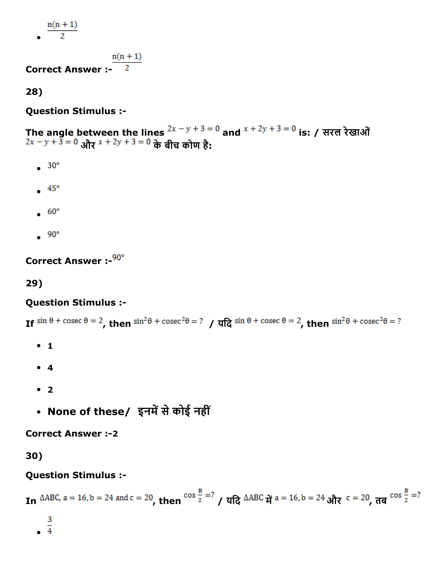$n(n+1)$ 

$$
\overline{\phantom{0}}
$$

 $n(n + 1)$ 

Correct Answer :

28)

Question Stimulus :

The angle between the lines  $\frac{2x - y + 3 = 0}{x}$  and  $\frac{x + 2y + 3 = 0}{x}$  is: / सरल रेखाओं और <sup>\* + zy + <sup>3 = 0</sup> के बीच कोण है:</sup>

- $\bullet$  30 $^{\circ}$
- $\bullet$  45°
- $.60^{\circ}$
- $\bullet$  90 $^{\circ}$

Correct Answer :-  $90^\circ$ 

29)

## Question Stimulus :

If  $\sin \theta + \csc \theta = 2$ , then  $\sin^2 \theta + \csc^2 \theta = ?$  /  $\sqrt{d}$   $\sin \theta + \csc \theta = 2$ , then  $\sin^2 \theta + \csc^2 \theta = ?$ 

- $1$
- 4
- 2
- None of these/ इनमें से कोई नहीं

**Correct Answer :-2** 

30)

In 
$$
\triangle ABC
$$
, a = 16, b = 24 and c = 20, then  $\cos \frac{B}{2} = ?$  /  $\angle ABC$   $\frac{d}{d} = 16$ , b = 24 and  $\frac{d}{d} = ?$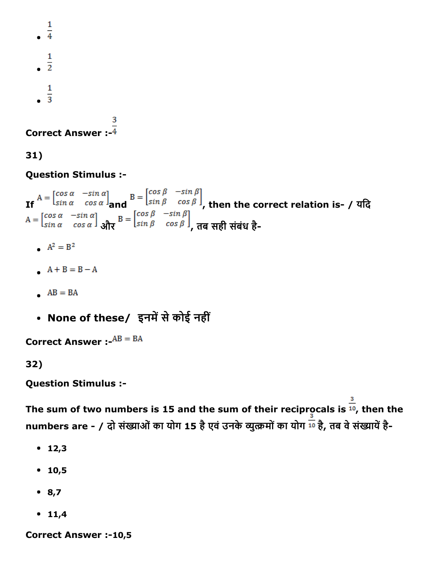$\frac{1}{4}$  $\frac{1}{2}$  $\mathbf{1}$  $\frac{1}{3}$ 

Correct Answer :

31)

Question Stimulus :

If  $\frac{1\sin \alpha - \cos \alpha}{\tan \alpha}$  and  $\frac{1\sin \beta - \cos \beta}{\tan \beta}$ , then the correct relation is- / यदि और <sup>(Sin prosp)</sup>, तब सही संबंध है-

- $A^2 = B^2$
- $A + B = B A$
- $AB = BA$
- None of these/ इनमें से कोई नहीं

**Correct Answer :-** $AB = BA$ 

32)

Question Stimulus :

The sum of two numbers is 15 and the sum of their reciprocals is  $\frac{3}{10}$ , then the numbers are - / दो संख्याओं का योग 15 है एवं उनके व्युत्क्रमों का योग 10 है, तब वे संख्यायें है-

- $12,3$
- $10,5$
- $8,7$
- $11,4$

Correct Answer :-10,5